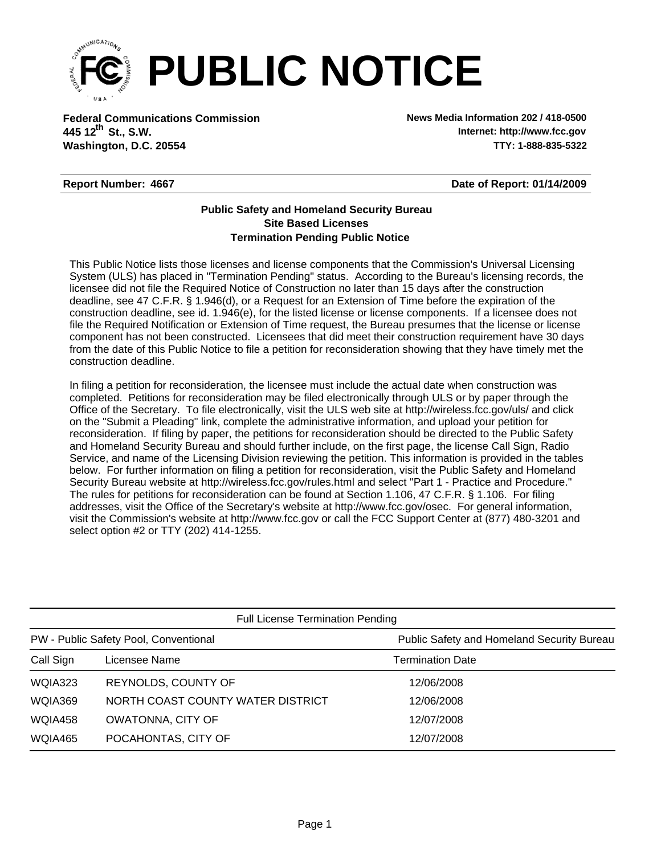

**Federal Communications Commission News Media Information 202 / 418-0500 Washington, D.C. 20554 TTY: 1-888-835-5322 445 12<sup>th</sup> St., S.W.** 

**Internet: http://www.fcc.gov**

## **Report Number: 4667**

**Date of Report: 01/14/2009**

## **Termination Pending Public Notice Site Based Licenses Public Safety and Homeland Security Bureau**

This Public Notice lists those licenses and license components that the Commission's Universal Licensing System (ULS) has placed in "Termination Pending" status. According to the Bureau's licensing records, the licensee did not file the Required Notice of Construction no later than 15 days after the construction deadline, see 47 C.F.R. § 1.946(d), or a Request for an Extension of Time before the expiration of the construction deadline, see id. 1.946(e), for the listed license or license components. If a licensee does not file the Required Notification or Extension of Time request, the Bureau presumes that the license or license component has not been constructed. Licensees that did meet their construction requirement have 30 days from the date of this Public Notice to file a petition for reconsideration showing that they have timely met the construction deadline.

In filing a petition for reconsideration, the licensee must include the actual date when construction was completed. Petitions for reconsideration may be filed electronically through ULS or by paper through the Office of the Secretary. To file electronically, visit the ULS web site at http://wireless.fcc.gov/uls/ and click on the "Submit a Pleading" link, complete the administrative information, and upload your petition for reconsideration. If filing by paper, the petitions for reconsideration should be directed to the Public Safety and Homeland Security Bureau and should further include, on the first page, the license Call Sign, Radio Service, and name of the Licensing Division reviewing the petition. This information is provided in the tables below. For further information on filing a petition for reconsideration, visit the Public Safety and Homeland Security Bureau website at http://wireless.fcc.gov/rules.html and select "Part 1 - Practice and Procedure." The rules for petitions for reconsideration can be found at Section 1.106, 47 C.F.R. § 1.106. For filing addresses, visit the Office of the Secretary's website at http://www.fcc.gov/osec. For general information, visit the Commission's website at http://www.fcc.gov or call the FCC Support Center at (877) 480-3201 and select option #2 or TTY (202) 414-1255.

| <b>Full License Termination Pending</b> |                                   |                                            |  |  |  |
|-----------------------------------------|-----------------------------------|--------------------------------------------|--|--|--|
| PW - Public Safety Pool, Conventional   |                                   | Public Safety and Homeland Security Bureau |  |  |  |
| Call Sign                               | Licensee Name                     | <b>Termination Date</b>                    |  |  |  |
| WQIA323                                 | <b>REYNOLDS, COUNTY OF</b>        | 12/06/2008                                 |  |  |  |
| WQIA369                                 | NORTH COAST COUNTY WATER DISTRICT | 12/06/2008                                 |  |  |  |
| WQIA458                                 | <b>OWATONNA, CITY OF</b>          | 12/07/2008                                 |  |  |  |
| WQIA465                                 | POCAHONTAS, CITY OF               | 12/07/2008                                 |  |  |  |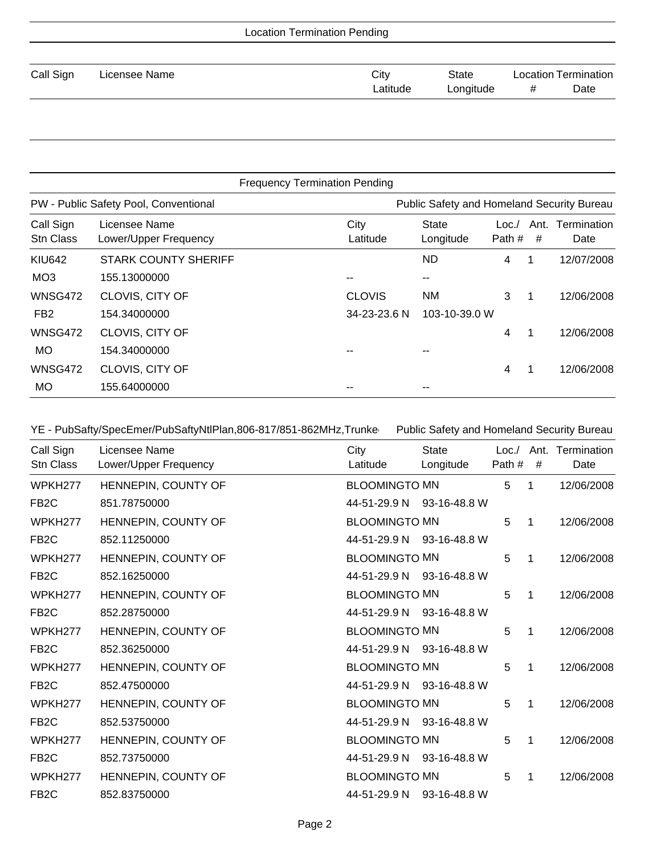| <b>Location Termination Pending</b> |               |          |           |                             |      |
|-------------------------------------|---------------|----------|-----------|-----------------------------|------|
|                                     |               |          |           |                             |      |
| Call Sign                           | Licensee Name | City     | State     | <b>Location Termination</b> |      |
|                                     |               | Latitude | Longitude | #                           | Date |
|                                     |               |          |           |                             |      |

| <b>Frequency Termination Pending</b> |                                        |                  |                                            |                |           |                     |
|--------------------------------------|----------------------------------------|------------------|--------------------------------------------|----------------|-----------|---------------------|
|                                      | PW - Public Safety Pool, Conventional  |                  | Public Safety and Homeland Security Bureau |                |           |                     |
| Call Sign<br>Stn Class               | Licensee Name<br>Lower/Upper Frequency | City<br>Latitude | State<br>Longitude                         | Loc.<br>Path # | Ant.<br># | Termination<br>Date |
| <b>KIU642</b>                        | <b>STARK COUNTY SHERIFF</b>            |                  | <b>ND</b>                                  | 4              | 1         | 12/07/2008          |
| MO <sub>3</sub>                      | 155.13000000                           |                  | --                                         |                |           |                     |
| <b>WNSG472</b>                       | CLOVIS, CITY OF                        | <b>CLOVIS</b>    | ΝM                                         | 3              | 1         | 12/06/2008          |
| FB <sub>2</sub>                      | 154.34000000                           | 34-23-23.6 N     | 103-10-39.0 W                              |                |           |                     |
| <b>WNSG472</b>                       | CLOVIS, CITY OF                        |                  |                                            | 4              | 1         | 12/06/2008          |
| <b>MO</b>                            | 154.34000000                           |                  |                                            |                |           |                     |
| <b>WNSG472</b>                       | CLOVIS, CITY OF                        |                  |                                            | 4              | 1         | 12/06/2008          |
| MO                                   | 155.64000000                           |                  | --                                         |                |           |                     |

YE - PubSafty/SpecEmer/PubSaftyNtlPlan,806-817/851-862MHz,Trunke Public Safety and Homeland Security Bureau

| Call Sign<br>Stn Class | Licensee Name<br>Lower/Upper Frequency | City<br>Latitude          | <b>State</b><br>Longitude | Path# | # | Loc./ Ant. Termination<br>Date |
|------------------------|----------------------------------------|---------------------------|---------------------------|-------|---|--------------------------------|
| WPKH277                | HENNEPIN, COUNTY OF                    | <b>BLOOMINGTO MN</b>      |                           | 5     | 1 | 12/06/2008                     |
| FB <sub>2</sub> C      | 851.78750000                           | 44-51-29.9 N 93-16-48.8 W |                           |       |   |                                |
| WPKH277                | HENNEPIN, COUNTY OF                    | <b>BLOOMINGTO MN</b>      |                           | 5     | 1 | 12/06/2008                     |
| FB <sub>2</sub> C      | 852.11250000                           | 44-51-29.9 N 93-16-48.8 W |                           |       |   |                                |
| WPKH <sub>277</sub>    | HENNEPIN, COUNTY OF                    | <b>BLOOMINGTO MN</b>      |                           | 5     | 1 | 12/06/2008                     |
| FB <sub>2</sub> C      | 852.16250000                           | 44-51-29.9 N 93-16-48.8 W |                           |       |   |                                |
| WPKH <sub>277</sub>    | HENNEPIN, COUNTY OF                    | <b>BLOOMINGTO MN</b>      |                           | 5     | 1 | 12/06/2008                     |
| FB <sub>2</sub> C      | 852.28750000                           | 44-51-29.9 N 93-16-48.8 W |                           |       |   |                                |
| WPKH <sub>277</sub>    | HENNEPIN, COUNTY OF                    | <b>BLOOMINGTO MN</b>      |                           | 5     | 1 | 12/06/2008                     |
| FB <sub>2</sub> C      | 852.36250000                           | 44-51-29.9 N 93-16-48.8 W |                           |       |   |                                |
| WPKH277                | HENNEPIN, COUNTY OF                    | <b>BLOOMINGTO MN</b>      |                           | 5     | 1 | 12/06/2008                     |
| FB <sub>2</sub> C      | 852.47500000                           | 44-51-29.9 N 93-16-48.8 W |                           |       |   |                                |
| WPKH <sub>277</sub>    | HENNEPIN, COUNTY OF                    | <b>BLOOMINGTO MN</b>      |                           | 5     | 1 | 12/06/2008                     |
| FB <sub>2</sub> C      | 852.53750000                           | 44-51-29.9 N 93-16-48.8 W |                           |       |   |                                |
| WPKH <sub>277</sub>    | HENNEPIN, COUNTY OF                    | <b>BLOOMINGTO MN</b>      |                           | 5     | 1 | 12/06/2008                     |
| FB <sub>2</sub> C      | 852.73750000                           | 44-51-29.9 N 93-16-48.8 W |                           |       |   |                                |
| WPKH277                | HENNEPIN, COUNTY OF                    | <b>BLOOMINGTO MN</b>      |                           | 5     | 1 | 12/06/2008                     |
| FB <sub>2</sub> C      | 852.83750000                           | 44-51-29.9 N              | 93-16-48.8 W              |       |   |                                |